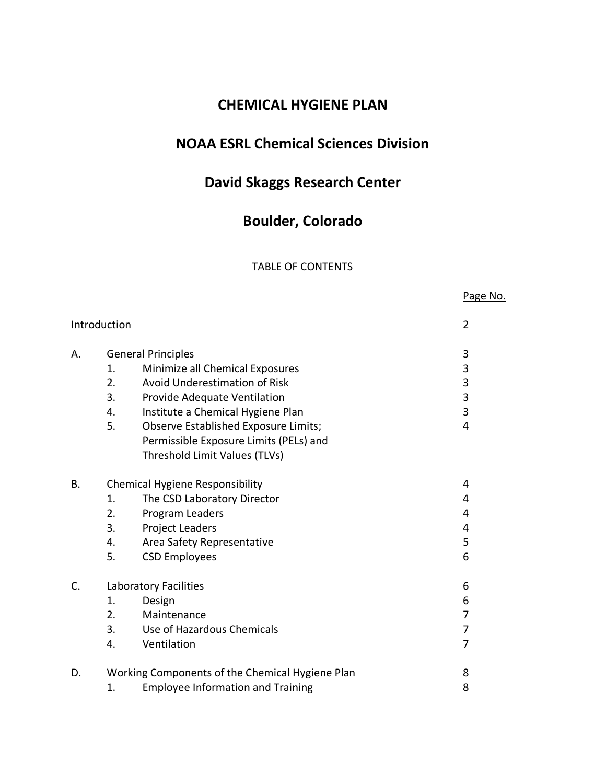# **CHEMICAL HYGIENE PLAN**

# **NOAA ESRL Chemical Sciences Division**

# **David Skaggs Research Center**

# **Boulder, Colorado**

#### TABLE OF CONTENTS

Page No.

|    | Introduction                                    |                                             | 2              |
|----|-------------------------------------------------|---------------------------------------------|----------------|
| А. | <b>General Principles</b>                       | 3                                           |                |
|    | 1.                                              | Minimize all Chemical Exposures             | 3              |
|    | 2.                                              | Avoid Underestimation of Risk               | 3              |
|    | 3.                                              | Provide Adequate Ventilation                | 3              |
|    | 4.                                              | Institute a Chemical Hygiene Plan           | 3              |
|    | 5.                                              | <b>Observe Established Exposure Limits;</b> | $\overline{4}$ |
|    |                                                 | Permissible Exposure Limits (PELs) and      |                |
|    |                                                 | Threshold Limit Values (TLVs)               |                |
| В. | <b>Chemical Hygiene Responsibility</b>          |                                             | 4              |
|    | 1.                                              | The CSD Laboratory Director                 | 4              |
|    | 2.                                              | Program Leaders                             | 4              |
|    | 3.                                              | <b>Project Leaders</b>                      | 4              |
|    | 4.                                              | Area Safety Representative                  | 5              |
|    | 5.                                              | <b>CSD Employees</b>                        | 6              |
| Ć. | Laboratory Facilities                           |                                             | 6              |
|    | 1.                                              | Design                                      | 6              |
|    | 2.                                              | Maintenance                                 | 7              |
|    | 3.                                              | Use of Hazardous Chemicals                  | 7              |
|    | 4.                                              | Ventilation                                 | 7              |
| D. | Working Components of the Chemical Hygiene Plan |                                             | 8              |
|    | 1.                                              | <b>Employee Information and Training</b>    | 8              |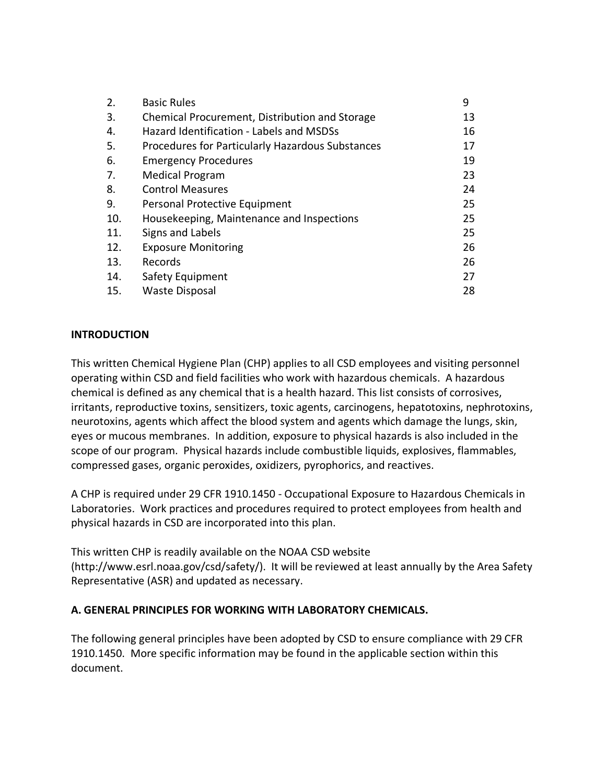| 2.  | <b>Basic Rules</b>                               | 9  |
|-----|--------------------------------------------------|----|
| 3.  | Chemical Procurement, Distribution and Storage   | 13 |
| 4.  | Hazard Identification - Labels and MSDSs         | 16 |
| 5.  | Procedures for Particularly Hazardous Substances | 17 |
| 6.  | <b>Emergency Procedures</b>                      | 19 |
| 7.  | <b>Medical Program</b>                           | 23 |
| 8.  | <b>Control Measures</b>                          | 24 |
| 9.  | Personal Protective Equipment                    | 25 |
| 10. | Housekeeping, Maintenance and Inspections        | 25 |
| 11. | Signs and Labels                                 | 25 |
| 12. | <b>Exposure Monitoring</b>                       | 26 |
| 13. | Records                                          | 26 |
| 14. | Safety Equipment                                 | 27 |
| 15. | <b>Waste Disposal</b>                            | 28 |

# **INTRODUCTION**

This written Chemical Hygiene Plan (CHP) applies to all CSD employees and visiting personnel operating within CSD and field facilities who work with hazardous chemicals. A hazardous chemical is defined as any chemical that is a health hazard. This list consists of corrosives, irritants, reproductive toxins, sensitizers, toxic agents, carcinogens, hepatotoxins, nephrotoxins, neurotoxins, agents which affect the blood system and agents which damage the lungs, skin, eyes or mucous membranes. In addition, exposure to physical hazards is also included in the scope of our program. Physical hazards include combustible liquids, explosives, flammables, compressed gases, organic peroxides, oxidizers, pyrophorics, and reactives.

A CHP is required under 29 CFR 1910.1450 - Occupational Exposure to Hazardous Chemicals in Laboratories. Work practices and procedures required to protect employees from health and physical hazards in CSD are incorporated into this plan.

This written CHP is readily available on the NOAA CSD website (http://www.esrl.noaa.gov/csd/safety/). It will be reviewed at least annually by the Area Safety Representative (ASR) and updated as necessary.

# **A. GENERAL PRINCIPLES FOR WORKING WITH LABORATORY CHEMICALS.**

The following general principles have been adopted by CSD to ensure compliance with 29 CFR 1910.1450. More specific information may be found in the applicable section within this document.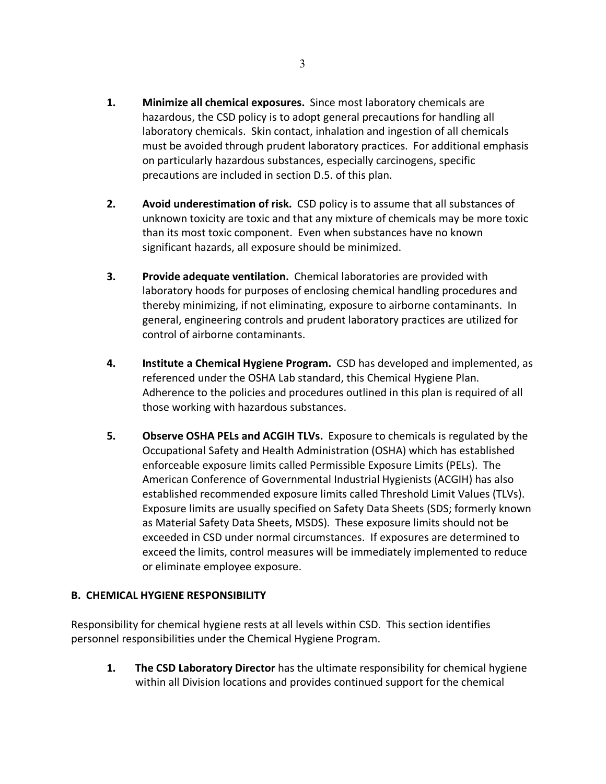- **1. Minimize all chemical exposures.** Since most laboratory chemicals are hazardous, the CSD policy is to adopt general precautions for handling all laboratory chemicals. Skin contact, inhalation and ingestion of all chemicals must be avoided through prudent laboratory practices. For additional emphasis on particularly hazardous substances, especially carcinogens, specific precautions are included in section D.5. of this plan.
- **2. Avoid underestimation of risk.** CSD policy is to assume that all substances of unknown toxicity are toxic and that any mixture of chemicals may be more toxic than its most toxic component. Even when substances have no known significant hazards, all exposure should be minimized.
- **3. Provide adequate ventilation.** Chemical laboratories are provided with laboratory hoods for purposes of enclosing chemical handling procedures and thereby minimizing, if not eliminating, exposure to airborne contaminants. In general, engineering controls and prudent laboratory practices are utilized for control of airborne contaminants.
- **4. Institute a Chemical Hygiene Program.** CSD has developed and implemented, as referenced under the OSHA Lab standard, this Chemical Hygiene Plan. Adherence to the policies and procedures outlined in this plan is required of all those working with hazardous substances.
- **5. Observe OSHA PELs and ACGIH TLVs.** Exposure to chemicals is regulated by the Occupational Safety and Health Administration (OSHA) which has established enforceable exposure limits called Permissible Exposure Limits (PELs). The American Conference of Governmental Industrial Hygienists (ACGIH) has also established recommended exposure limits called Threshold Limit Values (TLVs). Exposure limits are usually specified on Safety Data Sheets (SDS; formerly known as Material Safety Data Sheets, MSDS). These exposure limits should not be exceeded in CSD under normal circumstances. If exposures are determined to exceed the limits, control measures will be immediately implemented to reduce or eliminate employee exposure.

# **B. CHEMICAL HYGIENE RESPONSIBILITY**

Responsibility for chemical hygiene rests at all levels within CSD. This section identifies personnel responsibilities under the Chemical Hygiene Program.

**1. The CSD Laboratory Director** has the ultimate responsibility for chemical hygiene within all Division locations and provides continued support for the chemical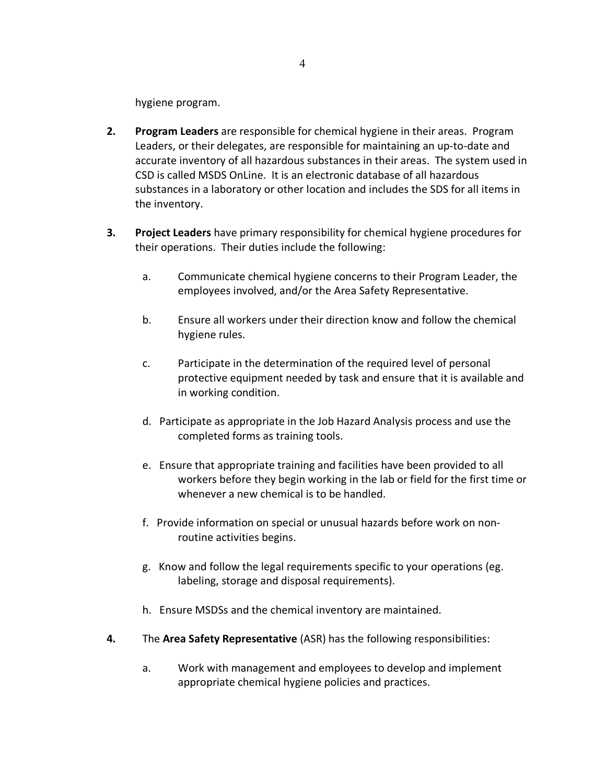hygiene program.

- **2. Program Leaders** are responsible for chemical hygiene in their areas. Program Leaders, or their delegates, are responsible for maintaining an up-to-date and accurate inventory of all hazardous substances in their areas. The system used in CSD is called MSDS OnLine. It is an electronic database of all hazardous substances in a laboratory or other location and includes the SDS for all items in the inventory.
- **3. Project Leaders** have primary responsibility for chemical hygiene procedures for their operations. Their duties include the following:
	- a. Communicate chemical hygiene concerns to their Program Leader, the employees involved, and/or the Area Safety Representative.
	- b. Ensure all workers under their direction know and follow the chemical hygiene rules.
	- c. Participate in the determination of the required level of personal protective equipment needed by task and ensure that it is available and in working condition.
	- d. Participate as appropriate in the Job Hazard Analysis process and use the completed forms as training tools.
	- e. Ensure that appropriate training and facilities have been provided to all workers before they begin working in the lab or field for the first time or whenever a new chemical is to be handled.
	- f. Provide information on special or unusual hazards before work on nonroutine activities begins.
	- g. Know and follow the legal requirements specific to your operations (eg. labeling, storage and disposal requirements).
	- h. Ensure MSDSs and the chemical inventory are maintained.
- **4.** The **Area Safety Representative** (ASR) has the following responsibilities:
	- a. Work with management and employees to develop and implement appropriate chemical hygiene policies and practices.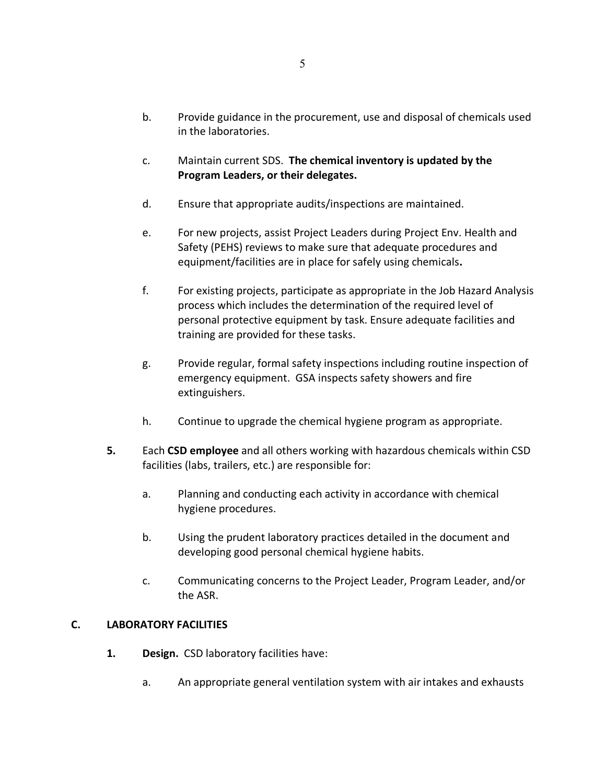- b. Provide guidance in the procurement, use and disposal of chemicals used in the laboratories.
- c. Maintain current SDS. **The chemical inventory is updated by the Program Leaders, or their delegates.**
- d. Ensure that appropriate audits/inspections are maintained.
- e. For new projects, assist Project Leaders during Project Env. Health and Safety (PEHS) reviews to make sure that adequate procedures and equipment/facilities are in place for safely using chemicals**.**
- f. For existing projects, participate as appropriate in the Job Hazard Analysis process which includes the determination of the required level of personal protective equipment by task. Ensure adequate facilities and training are provided for these tasks.
- g. Provide regular, formal safety inspections including routine inspection of emergency equipment. GSA inspects safety showers and fire extinguishers.
- h. Continue to upgrade the chemical hygiene program as appropriate.
- **5.** Each **CSD employee** and all others working with hazardous chemicals within CSD facilities (labs, trailers, etc.) are responsible for:
	- a. Planning and conducting each activity in accordance with chemical hygiene procedures.
	- b. Using the prudent laboratory practices detailed in the document and developing good personal chemical hygiene habits.
	- c. Communicating concerns to the Project Leader, Program Leader, and/or the ASR.

#### **C. LABORATORY FACILITIES**

- **1. Design.** CSD laboratory facilities have:
	- a. An appropriate general ventilation system with air intakes and exhausts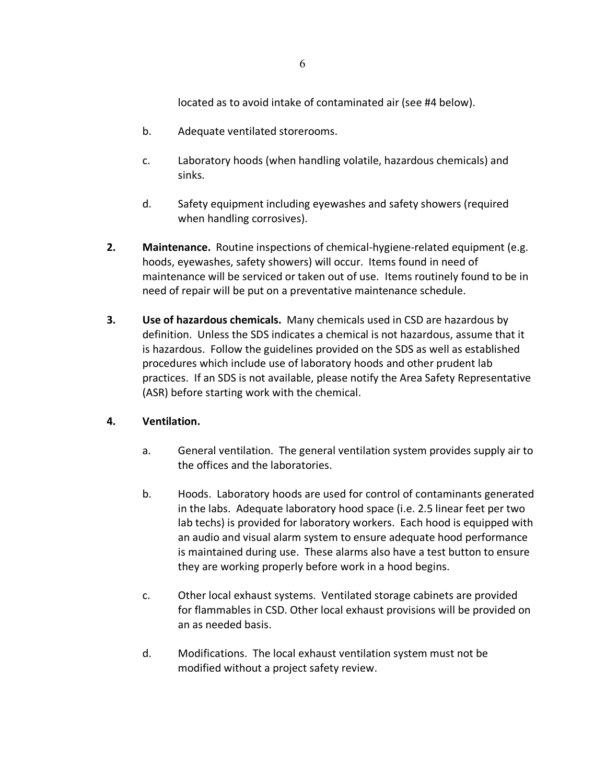located as to avoid intake of contaminated air (see #4 below).

- b. Adequate ventilated storerooms.
- c. Laboratory hoods (when handling volatile, hazardous chemicals) and sinks.
- d. Safety equipment including eyewashes and safety showers (required when handling corrosives).
- **2. Maintenance.** Routine inspections of chemical-hygiene-related equipment (e.g. hoods, eyewashes, safety showers) will occur. Items found in need of maintenance will be serviced or taken out of use. Items routinely found to be in need of repair will be put on a preventative maintenance schedule.
- **3. Use of hazardous chemicals.** Many chemicals used in CSD are hazardous by definition. Unless the SDS indicates a chemical is not hazardous, assume that it is hazardous. Follow the guidelines provided on the SDS as well as established procedures which include use of laboratory hoods and other prudent lab practices. If an SDS is not available, please notify the Area Safety Representative (ASR) before starting work with the chemical.

# **4. Ventilation.**

- a. General ventilation. The general ventilation system provides supply air to the offices and the laboratories.
- b. Hoods. Laboratory hoods are used for control of contaminants generated in the labs. Adequate laboratory hood space (i.e. 2.5 linear feet per two lab techs) is provided for laboratory workers. Each hood is equipped with an audio and visual alarm system to ensure adequate hood performance is maintained during use. These alarms also have a test button to ensure they are working properly before work in a hood begins.
- c. Other local exhaust systems. Ventilated storage cabinets are provided for flammables in CSD. Other local exhaust provisions will be provided on an as needed basis.
- d. Modifications. The local exhaust ventilation system must not be modified without a project safety review.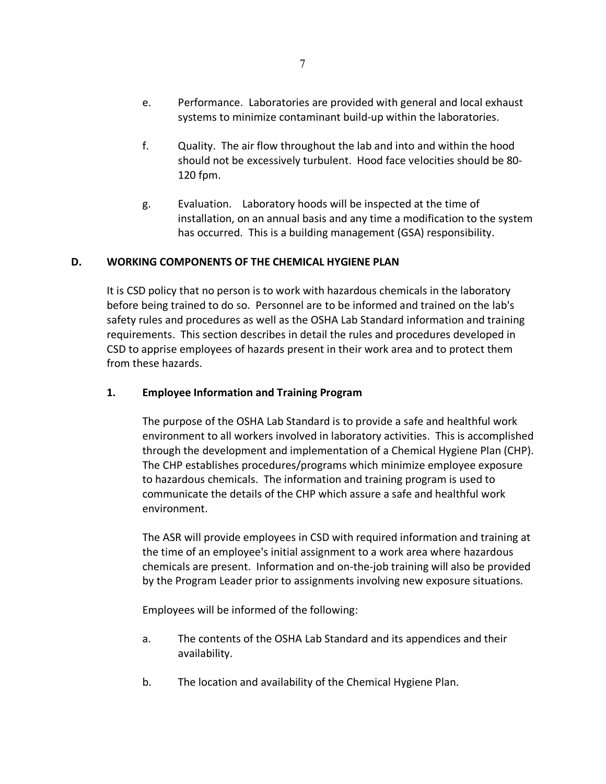- e. Performance. Laboratories are provided with general and local exhaust systems to minimize contaminant build-up within the laboratories.
- f. Quality. The air flow throughout the lab and into and within the hood should not be excessively turbulent. Hood face velocities should be 80- 120 fpm.
- g. Evaluation. Laboratory hoods will be inspected at the time of installation, on an annual basis and any time a modification to the system has occurred. This is a building management (GSA) responsibility.

#### **D. WORKING COMPONENTS OF THE CHEMICAL HYGIENE PLAN**

It is CSD policy that no person is to work with hazardous chemicals in the laboratory before being trained to do so. Personnel are to be informed and trained on the lab's safety rules and procedures as well as the OSHA Lab Standard information and training requirements. This section describes in detail the rules and procedures developed in CSD to apprise employees of hazards present in their work area and to protect them from these hazards.

#### **1. Employee Information and Training Program**

The purpose of the OSHA Lab Standard is to provide a safe and healthful work environment to all workers involved in laboratory activities. This is accomplished through the development and implementation of a Chemical Hygiene Plan (CHP). The CHP establishes procedures/programs which minimize employee exposure to hazardous chemicals. The information and training program is used to communicate the details of the CHP which assure a safe and healthful work environment.

The ASR will provide employees in CSD with required information and training at the time of an employee's initial assignment to a work area where hazardous chemicals are present. Information and on-the-job training will also be provided by the Program Leader prior to assignments involving new exposure situations.

Employees will be informed of the following:

- a. The contents of the OSHA Lab Standard and its appendices and their availability.
- b. The location and availability of the Chemical Hygiene Plan.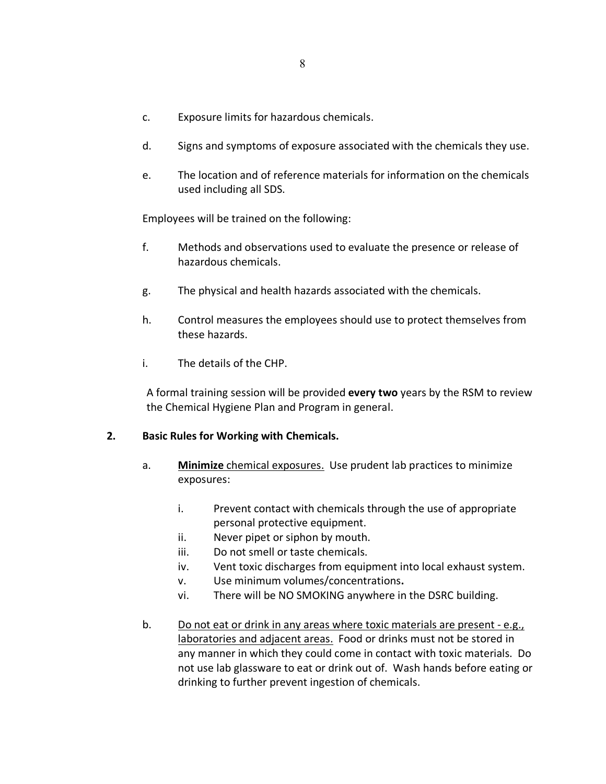- c. Exposure limits for hazardous chemicals.
- d. Signs and symptoms of exposure associated with the chemicals they use.
- e. The location and of reference materials for information on the chemicals used including all SDS.

Employees will be trained on the following:

- f. Methods and observations used to evaluate the presence or release of hazardous chemicals.
- g. The physical and health hazards associated with the chemicals.
- h. Control measures the employees should use to protect themselves from these hazards.
- i. The details of the CHP.

A formal training session will be provided **every two** years by the RSM to review the Chemical Hygiene Plan and Program in general.

# **2. Basic Rules for Working with Chemicals.**

- a. **Minimize** chemical exposures. Use prudent lab practices to minimize exposures:
	- i. Prevent contact with chemicals through the use of appropriate personal protective equipment.
	- ii. Never pipet or siphon by mouth.
	- iii. Do not smell or taste chemicals.
	- iv. Vent toxic discharges from equipment into local exhaust system.
	- v. Use minimum volumes/concentrations**.**
	- vi. There will be NO SMOKING anywhere in the DSRC building.
- b. Do not eat or drink in any areas where toxic materials are present e.g., laboratories and adjacent areas.Food or drinks must not be stored in any manner in which they could come in contact with toxic materials. Do not use lab glassware to eat or drink out of. Wash hands before eating or drinking to further prevent ingestion of chemicals.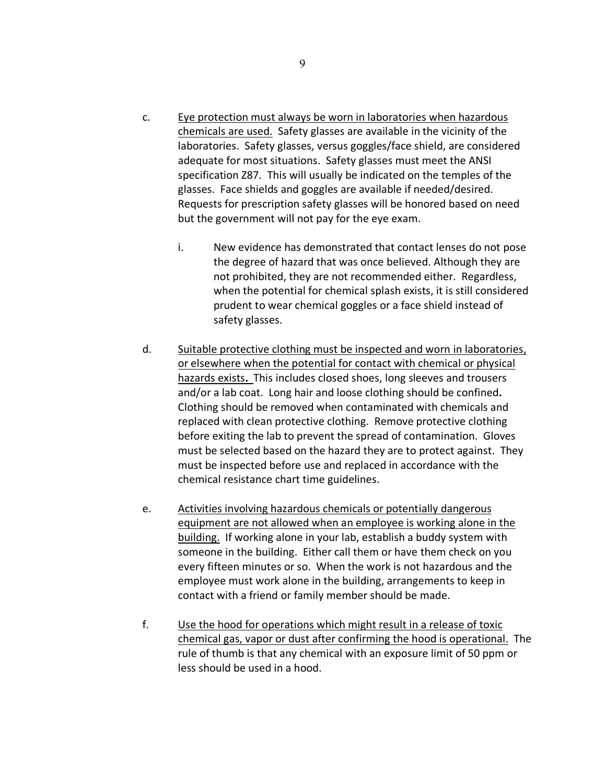- c. Eye protection must always be worn in laboratories when hazardous chemicals are used. Safety glasses are available in the vicinity of the laboratories. Safety glasses, versus goggles/face shield, are considered adequate for most situations. Safety glasses must meet the ANSI specification Z87. This will usually be indicated on the temples of the glasses. Face shields and goggles are available if needed/desired. Requests for prescription safety glasses will be honored based on need but the government will not pay for the eye exam.
	- i. New evidence has demonstrated that contact lenses do not pose the degree of hazard that was once believed. Although they are not prohibited, they are not recommended either. Regardless, when the potential for chemical splash exists, it is still considered prudent to wear chemical goggles or a face shield instead of safety glasses.
- d. Suitable protective clothing must be inspected and worn in laboratories, or elsewhere when the potential for contact with chemical or physical hazards exists**.** This includes closed shoes, long sleeves and trousers and/or a lab coat. Long hair and loose clothing should be confined**.**  Clothing should be removed when contaminated with chemicals and replaced with clean protective clothing. Remove protective clothing before exiting the lab to prevent the spread of contamination. Gloves must be selected based on the hazard they are to protect against. They must be inspected before use and replaced in accordance with the chemical resistance chart time guidelines.
- e. Activities involving hazardous chemicals or potentially dangerous equipment are not allowed when an employee is working alone in the building. If working alone in your lab, establish a buddy system with someone in the building. Either call them or have them check on you every fifteen minutes or so.When the work is not hazardous and the employee must work alone in the building, arrangements to keep in contact with a friend or family member should be made.
- f. Use the hood for operations which might result in a release of toxic chemical gas, vapor or dust after confirming the hood is operational. The rule of thumb is that any chemical with an exposure limit of 50 ppm or less should be used in a hood.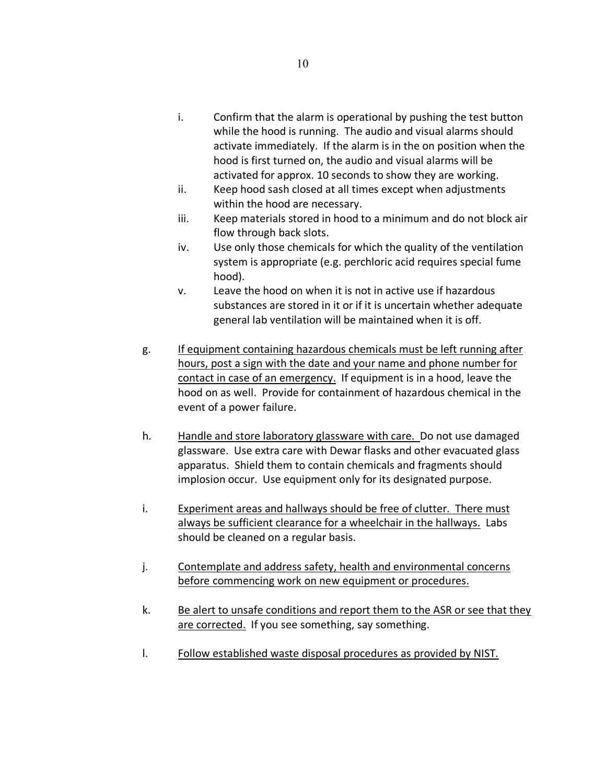- i. Confirm that the alarm is operational by pushing the test button while the hood is running. The audio and visual alarms should activate immediately. If the alarm is in the on position when the hood is first turned on, the audio and visual alarms will be activated for approx. 10 seconds to show they are working.
- ii. Keep hood sash closed at all times except when adjustments within the hood are necessary.
- iii. Keep materials stored in hood to a minimum and do not block air flow through back slots.
- iv. Use only those chemicals for which the quality of the ventilation system is appropriate (e.g. perchloric acid requires special fume hood).
- v. Leave the hood on when it is not in active use if hazardous substances are stored in it or if it is uncertain whether adequate general lab ventilation will be maintained when it is off.
- g. If equipment containing hazardous chemicals must be left running after hours, post a sign with the date and your name and phone number for contact in case of an emergency. If equipment is in a hood, leave the hood on as well. Provide for containment of hazardous chemical in the event of a power failure.
- h. Handle and store laboratory glassware with care. Do not use damaged glassware. Use extra care with Dewar flasks and other evacuated glass apparatus. Shield them to contain chemicals and fragments should implosion occur. Use equipment only for its designated purpose.
- i. Experiment areas and hallways should be free of clutter. There must always be sufficient clearance for a wheelchair in the hallways. Labs should be cleaned on a regular basis.
- j. Contemplate and address safety, health and environmental concerns before commencing work on new equipment or procedures.
- k. Be alert to unsafe conditions and report them to the ASR or see that they are corrected. If you see something, say something.
- l. Follow established waste disposal procedures as provided by NIST.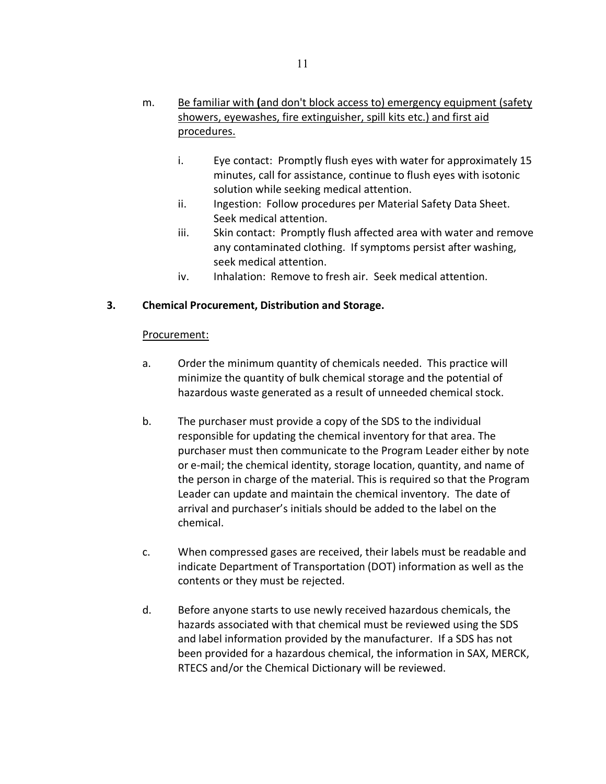- i. Eye contact: Promptly flush eyes with water for approximately 15 minutes, call for assistance, continue to flush eyes with isotonic solution while seeking medical attention.
- ii. Ingestion: Follow procedures per Material Safety Data Sheet. Seek medical attention.
- iii. Skin contact: Promptly flush affected area with water and remove any contaminated clothing. If symptoms persist after washing, seek medical attention.
- iv. Inhalation: Remove to fresh air. Seek medical attention.

# **3. Chemical Procurement, Distribution and Storage.**

# Procurement:

- a. Order the minimum quantity of chemicals needed. This practice will minimize the quantity of bulk chemical storage and the potential of hazardous waste generated as a result of unneeded chemical stock.
- b. The purchaser must provide a copy of the SDS to the individual responsible for updating the chemical inventory for that area. The purchaser must then communicate to the Program Leader either by note or e-mail; the chemical identity, storage location, quantity, and name of the person in charge of the material. This is required so that the Program Leader can update and maintain the chemical inventory. The date of arrival and purchaser's initials should be added to the label on the chemical.
- c. When compressed gases are received, their labels must be readable and indicate Department of Transportation (DOT) information as well as the contents or they must be rejected.
- d. Before anyone starts to use newly received hazardous chemicals, the hazards associated with that chemical must be reviewed using the SDS and label information provided by the manufacturer. If a SDS has not been provided for a hazardous chemical, the information in SAX, MERCK, RTECS and/or the Chemical Dictionary will be reviewed.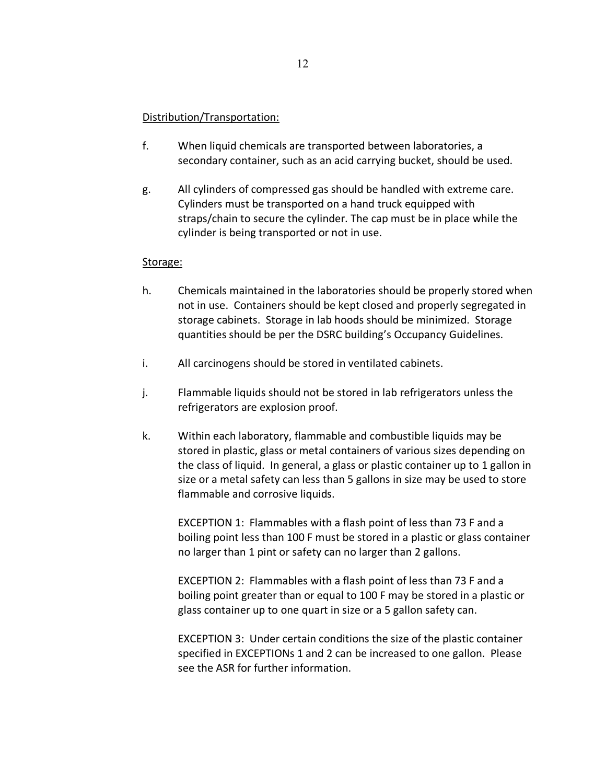#### Distribution/Transportation:

- f. When liquid chemicals are transported between laboratories, a secondary container, such as an acid carrying bucket, should be used.
- g. All cylinders of compressed gas should be handled with extreme care. Cylinders must be transported on a hand truck equipped with straps/chain to secure the cylinder. The cap must be in place while the cylinder is being transported or not in use.

#### Storage:

- h. Chemicals maintained in the laboratories should be properly stored when not in use. Containers should be kept closed and properly segregated in storage cabinets. Storage in lab hoods should be minimized. Storage quantities should be per the DSRC building's Occupancy Guidelines.
- i. All carcinogens should be stored in ventilated cabinets.
- j. Flammable liquids should not be stored in lab refrigerators unless the refrigerators are explosion proof.
- k. Within each laboratory, flammable and combustible liquids may be stored in plastic, glass or metal containers of various sizes depending on the class of liquid. In general, a glass or plastic container up to 1 gallon in size or a metal safety can less than 5 gallons in size may be used to store flammable and corrosive liquids.

EXCEPTION 1: Flammables with a flash point of less than 73 F and a boiling point less than 100 F must be stored in a plastic or glass container no larger than 1 pint or safety can no larger than 2 gallons.

EXCEPTION 2: Flammables with a flash point of less than 73 F and a boiling point greater than or equal to 100 F may be stored in a plastic or glass container up to one quart in size or a 5 gallon safety can.

EXCEPTION 3: Under certain conditions the size of the plastic container specified in EXCEPTIONs 1 and 2 can be increased to one gallon. Please see the ASR for further information.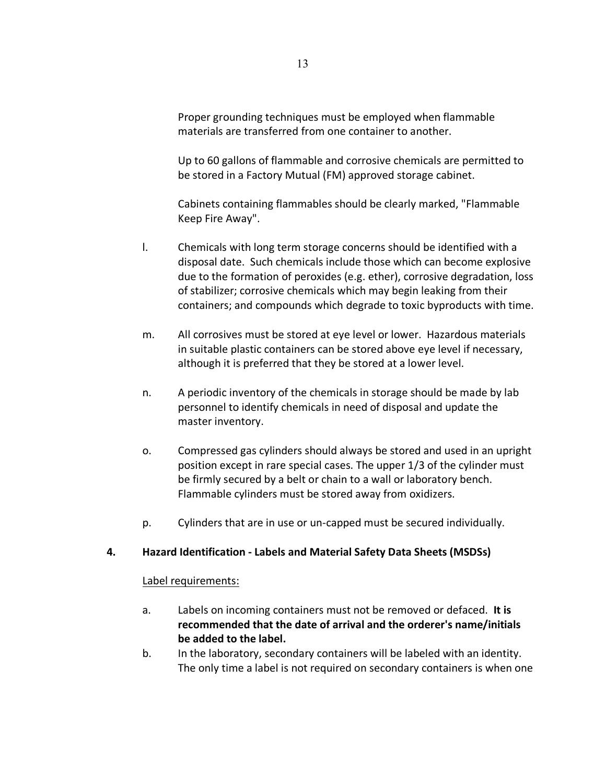Proper grounding techniques must be employed when flammable materials are transferred from one container to another.

Up to 60 gallons of flammable and corrosive chemicals are permitted to be stored in a Factory Mutual (FM) approved storage cabinet.

Cabinets containing flammables should be clearly marked, "Flammable Keep Fire Away".

- l. Chemicals with long term storage concerns should be identified with a disposal date. Such chemicals include those which can become explosive due to the formation of peroxides (e.g. ether), corrosive degradation, loss of stabilizer; corrosive chemicals which may begin leaking from their containers; and compounds which degrade to toxic byproducts with time.
- m. All corrosives must be stored at eye level or lower. Hazardous materials in suitable plastic containers can be stored above eye level if necessary, although it is preferred that they be stored at a lower level.
- n. A periodic inventory of the chemicals in storage should be made by lab personnel to identify chemicals in need of disposal and update the master inventory.
- o. Compressed gas cylinders should always be stored and used in an upright position except in rare special cases. The upper 1/3 of the cylinder must be firmly secured by a belt or chain to a wall or laboratory bench. Flammable cylinders must be stored away from oxidizers.
- p. Cylinders that are in use or un-capped must be secured individually.

#### **4. Hazard Identification - Labels and Material Safety Data Sheets (MSDSs)**

#### Label requirements:

- a. Labels on incoming containers must not be removed or defaced. **It is recommended that the date of arrival and the orderer's name/initials be added to the label.**
- b. In the laboratory, secondary containers will be labeled with an identity. The only time a label is not required on secondary containers is when one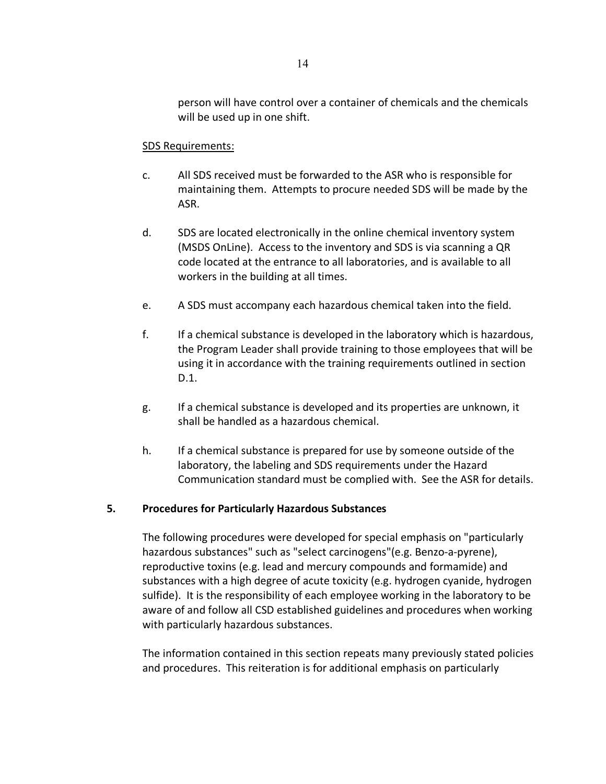person will have control over a container of chemicals and the chemicals will be used up in one shift.

#### SDS Requirements:

- c. All SDS received must be forwarded to the ASR who is responsible for maintaining them. Attempts to procure needed SDS will be made by the ASR.
- d. SDS are located electronically in the online chemical inventory system (MSDS OnLine). Access to the inventory and SDS is via scanning a QR code located at the entrance to all laboratories, and is available to all workers in the building at all times.
- e. A SDS must accompany each hazardous chemical taken into the field.
- f. If a chemical substance is developed in the laboratory which is hazardous, the Program Leader shall provide training to those employees that will be using it in accordance with the training requirements outlined in section D.1.
- g. If a chemical substance is developed and its properties are unknown, it shall be handled as a hazardous chemical.
- h. If a chemical substance is prepared for use by someone outside of the laboratory, the labeling and SDS requirements under the Hazard Communication standard must be complied with. See the ASR for details.

#### **5. Procedures for Particularly Hazardous Substances**

The following procedures were developed for special emphasis on "particularly hazardous substances" such as "select carcinogens"(e.g. Benzo-a-pyrene), reproductive toxins (e.g. lead and mercury compounds and formamide) and substances with a high degree of acute toxicity (e.g. hydrogen cyanide, hydrogen sulfide). It is the responsibility of each employee working in the laboratory to be aware of and follow all CSD established guidelines and procedures when working with particularly hazardous substances.

The information contained in this section repeats many previously stated policies and procedures. This reiteration is for additional emphasis on particularly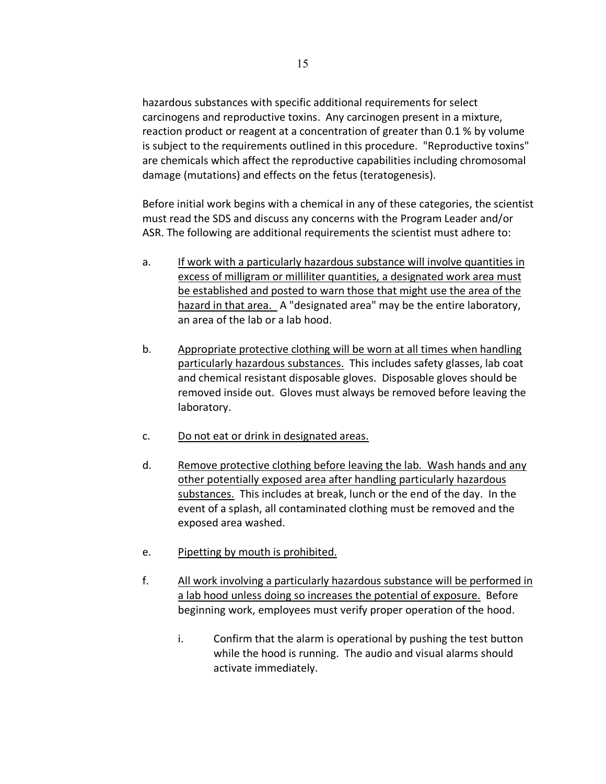hazardous substances with specific additional requirements for select carcinogens and reproductive toxins. Any carcinogen present in a mixture, reaction product or reagent at a concentration of greater than 0.1 % by volume is subject to the requirements outlined in this procedure. "Reproductive toxins" are chemicals which affect the reproductive capabilities including chromosomal damage (mutations) and effects on the fetus (teratogenesis).

Before initial work begins with a chemical in any of these categories, the scientist must read the SDS and discuss any concerns with the Program Leader and/or ASR. The following are additional requirements the scientist must adhere to:

- a. If work with a particularly hazardous substance will involve quantities in excess of milligram or milliliter quantities, a designated work area must be established and posted to warn those that might use the area of the hazard in that area. A "designated area" may be the entire laboratory, an area of the lab or a lab hood.
- b. Appropriate protective clothing will be worn at all times when handling particularly hazardous substances. This includes safety glasses, lab coat and chemical resistant disposable gloves. Disposable gloves should be removed inside out. Gloves must always be removed before leaving the laboratory.
- c. Do not eat or drink in designated areas.
- d. Remove protective clothing before leaving the lab. Wash hands and any other potentially exposed area after handling particularly hazardous substances. This includes at break, lunch or the end of the day. In the event of a splash, all contaminated clothing must be removed and the exposed area washed.
- e. Pipetting by mouth is prohibited.
- f. All work involving a particularly hazardous substance will be performed in a lab hood unless doing so increases the potential of exposure. Before beginning work, employees must verify proper operation of the hood.
	- i. Confirm that the alarm is operational by pushing the test button while the hood is running. The audio and visual alarms should activate immediately.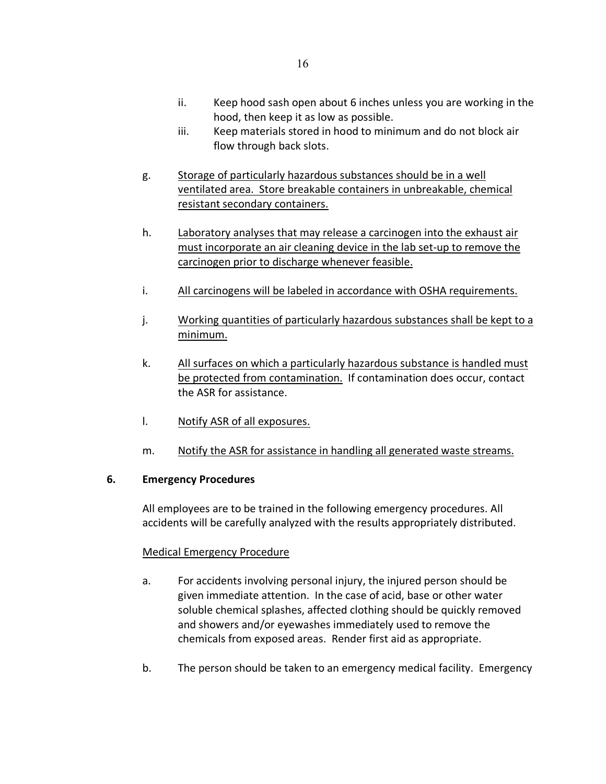- ii. Keep hood sash open about 6 inches unless you are working in the hood, then keep it as low as possible.
- iii. Keep materials stored in hood to minimum and do not block air flow through back slots.
- g. Storage of particularly hazardous substances should be in a well ventilated area. Store breakable containers in unbreakable, chemical resistant secondary containers.
- h. Laboratory analyses that may release a carcinogen into the exhaust air must incorporate an air cleaning device in the lab set-up to remove the carcinogen prior to discharge whenever feasible.
- i. All carcinogens will be labeled in accordance with OSHA requirements.
- j. Working quantities of particularly hazardous substances shall be kept to a minimum.
- k. All surfaces on which a particularly hazardous substance is handled must be protected from contamination. If contamination does occur, contact the ASR for assistance.
- l. Notify ASR of all exposures.
- m. Notify the ASR for assistance in handling all generated waste streams.

#### **6. Emergency Procedures**

All employees are to be trained in the following emergency procedures. All accidents will be carefully analyzed with the results appropriately distributed.

# Medical Emergency Procedure

- a. For accidents involving personal injury, the injured person should be given immediate attention. In the case of acid, base or other water soluble chemical splashes, affected clothing should be quickly removed and showers and/or eyewashes immediately used to remove the chemicals from exposed areas. Render first aid as appropriate.
- b. The person should be taken to an emergency medical facility. Emergency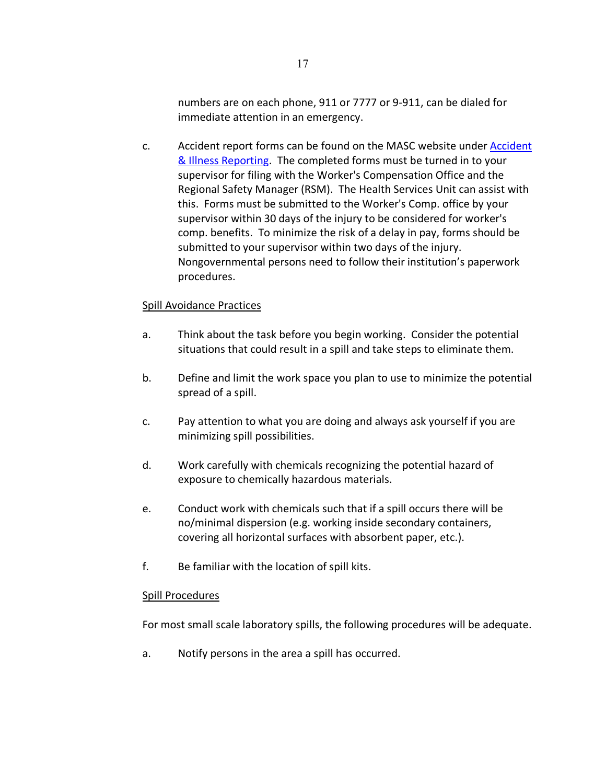numbers are on each phone, 911 or 7777 or 9-911, can be dialed for immediate attention in an emergency.

c. Accident report forms can be found on the MASC website under Accident & Illness Reporting. The completed forms must be turned in to your supervisor for filing with the Worker's Compensation Office and the Regional Safety Manager (RSM). The Health Services Unit can assist with this. Forms must be submitted to the Worker's Comp. office by your supervisor within 30 days of the injury to be considered for worker's comp. benefits. To minimize the risk of a delay in pay, forms should be submitted to your supervisor within two days of the injury. Nongovernmental persons need to follow their institution's paperwork procedures.

# Spill Avoidance Practices

- a. Think about the task before you begin working. Consider the potential situations that could result in a spill and take steps to eliminate them.
- b. Define and limit the work space you plan to use to minimize the potential spread of a spill.
- c. Pay attention to what you are doing and always ask yourself if you are minimizing spill possibilities.
- d. Work carefully with chemicals recognizing the potential hazard of exposure to chemically hazardous materials.
- e. Conduct work with chemicals such that if a spill occurs there will be no/minimal dispersion (e.g. working inside secondary containers, covering all horizontal surfaces with absorbent paper, etc.).
- f. Be familiar with the location of spill kits.

#### Spill Procedures

For most small scale laboratory spills, the following procedures will be adequate.

a. Notify persons in the area a spill has occurred.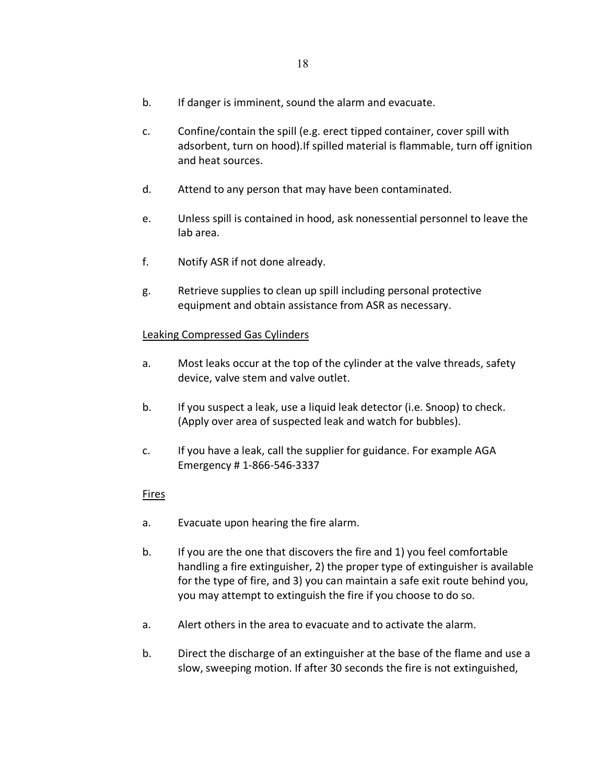- b. If danger is imminent, sound the alarm and evacuate.
- c. Confine/contain the spill (e.g. erect tipped container, cover spill with adsorbent, turn on hood).If spilled material is flammable, turn off ignition and heat sources.
- d. Attend to any person that may have been contaminated.
- e. Unless spill is contained in hood, ask nonessential personnel to leave the lab area.
- f. Notify ASR if not done already.
- g. Retrieve supplies to clean up spill including personal protective equipment and obtain assistance from ASR as necessary.

#### Leaking Compressed Gas Cylinders

- a. Most leaks occur at the top of the cylinder at the valve threads, safety device, valve stem and valve outlet.
- b. If you suspect a leak, use a liquid leak detector (i.e. Snoop) to check. (Apply over area of suspected leak and watch for bubbles).
- c. If you have a leak, call the supplier for guidance. For example AGA Emergency # 1-866-546-3337

#### Fires

- a. Evacuate upon hearing the fire alarm.
- b. If you are the one that discovers the fire and 1) you feel comfortable handling a fire extinguisher, 2) the proper type of extinguisher is available for the type of fire, and 3) you can maintain a safe exit route behind you, you may attempt to extinguish the fire if you choose to do so.
- a. Alert others in the area to evacuate and to activate the alarm.
- b. Direct the discharge of an extinguisher at the base of the flame and use a slow, sweeping motion. If after 30 seconds the fire is not extinguished,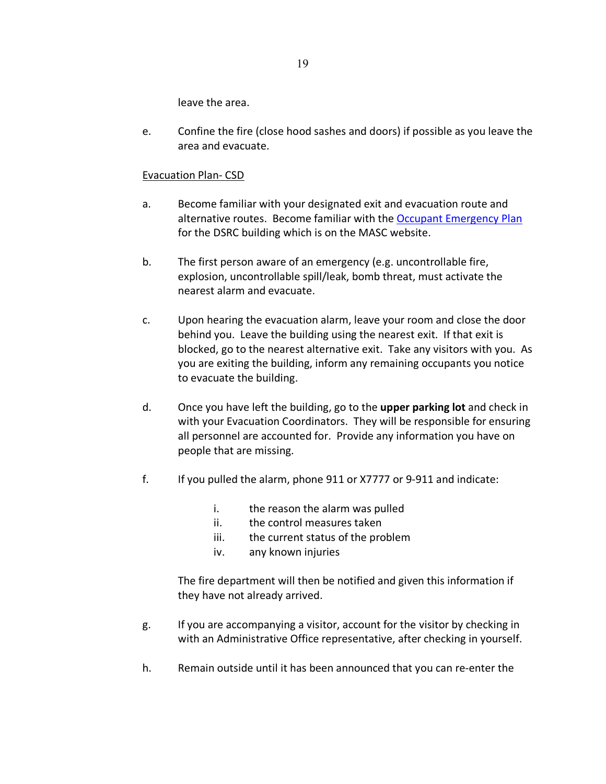leave the area.

e. Confine the fire (close hood sashes and doors) if possible as you leave the area and evacuate.

#### Evacuation Plan- CSD

- a. Become familiar with your designated exit and evacuation route and alternative routes. Become familiar with the Occupant Emergency Plan for the DSRC building which is on the MASC website.
- b. The first person aware of an emergency (e.g. uncontrollable fire, explosion, uncontrollable spill/leak, bomb threat, must activate the nearest alarm and evacuate.
- c. Upon hearing the evacuation alarm, leave your room and close the door behind you. Leave the building using the nearest exit. If that exit is blocked, go to the nearest alternative exit. Take any visitors with you. As you are exiting the building, inform any remaining occupants you notice to evacuate the building.
- d. Once you have left the building, go to the **upper parking lot** and check in with your Evacuation Coordinators. They will be responsible for ensuring all personnel are accounted for. Provide any information you have on people that are missing.
- f. If you pulled the alarm, phone 911 or X7777 or 9-911 and indicate:
	- i. the reason the alarm was pulled
	- ii. the control measures taken
	- iii. the current status of the problem
	- iv. any known injuries

The fire department will then be notified and given this information if they have not already arrived.

- g. If you are accompanying a visitor, account for the visitor by checking in with an Administrative Office representative, after checking in yourself.
- h. Remain outside until it has been announced that you can re-enter the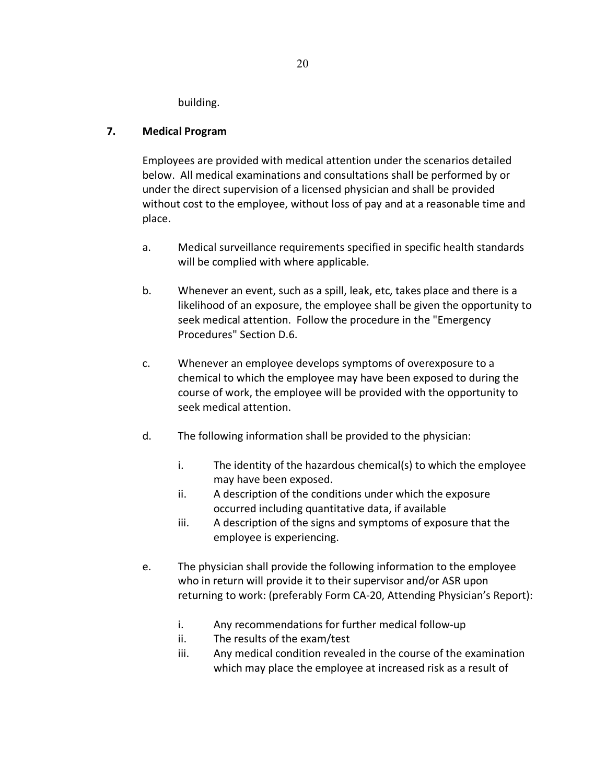building.

#### **7. Medical Program**

Employees are provided with medical attention under the scenarios detailed below. All medical examinations and consultations shall be performed by or under the direct supervision of a licensed physician and shall be provided without cost to the employee, without loss of pay and at a reasonable time and place.

- a. Medical surveillance requirements specified in specific health standards will be complied with where applicable.
- b. Whenever an event, such as a spill, leak, etc, takes place and there is a likelihood of an exposure, the employee shall be given the opportunity to seek medical attention. Follow the procedure in the "Emergency Procedures" Section D.6.
- c. Whenever an employee develops symptoms of overexposure to a chemical to which the employee may have been exposed to during the course of work, the employee will be provided with the opportunity to seek medical attention.
- d. The following information shall be provided to the physician:
	- i. The identity of the hazardous chemical(s) to which the employee may have been exposed.
	- ii. A description of the conditions under which the exposure occurred including quantitative data, if available
	- iii. A description of the signs and symptoms of exposure that the employee is experiencing.
- e. The physician shall provide the following information to the employee who in return will provide it to their supervisor and/or ASR upon returning to work: (preferably Form CA-20, Attending Physician's Report):
	- i. Any recommendations for further medical follow-up
	- ii. The results of the exam/test
	- iii. Any medical condition revealed in the course of the examination which may place the employee at increased risk as a result of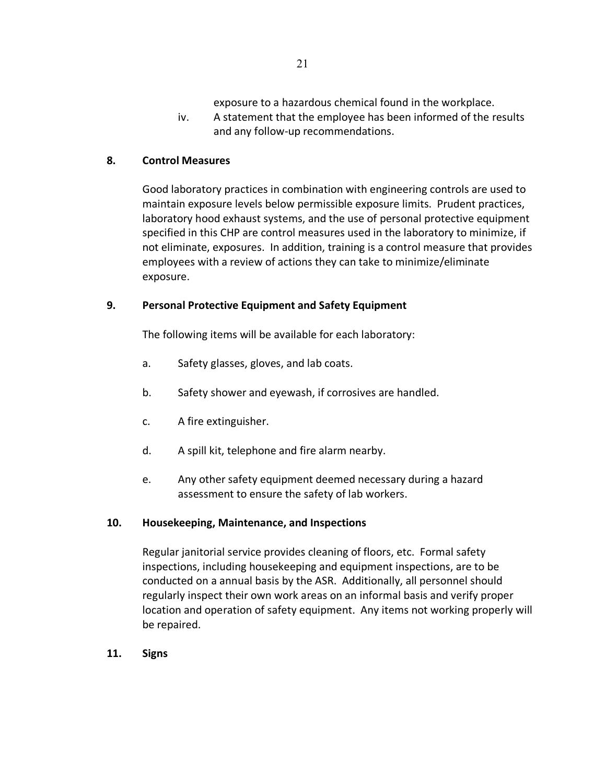exposure to a hazardous chemical found in the workplace.

iv. A statement that the employee has been informed of the results and any follow-up recommendations.

### **8. Control Measures**

Good laboratory practices in combination with engineering controls are used to maintain exposure levels below permissible exposure limits. Prudent practices, laboratory hood exhaust systems, and the use of personal protective equipment specified in this CHP are control measures used in the laboratory to minimize, if not eliminate, exposures. In addition, training is a control measure that provides employees with a review of actions they can take to minimize/eliminate exposure.

#### **9. Personal Protective Equipment and Safety Equipment**

The following items will be available for each laboratory:

- a. Safety glasses, gloves, and lab coats.
- b. Safety shower and eyewash, if corrosives are handled.
- c. A fire extinguisher.
- d. A spill kit, telephone and fire alarm nearby.
- e. Any other safety equipment deemed necessary during a hazard assessment to ensure the safety of lab workers.

#### **10. Housekeeping, Maintenance, and Inspections**

Regular janitorial service provides cleaning of floors, etc. Formal safety inspections, including housekeeping and equipment inspections, are to be conducted on a annual basis by the ASR. Additionally, all personnel should regularly inspect their own work areas on an informal basis and verify proper location and operation of safety equipment. Any items not working properly will be repaired.

**11. Signs**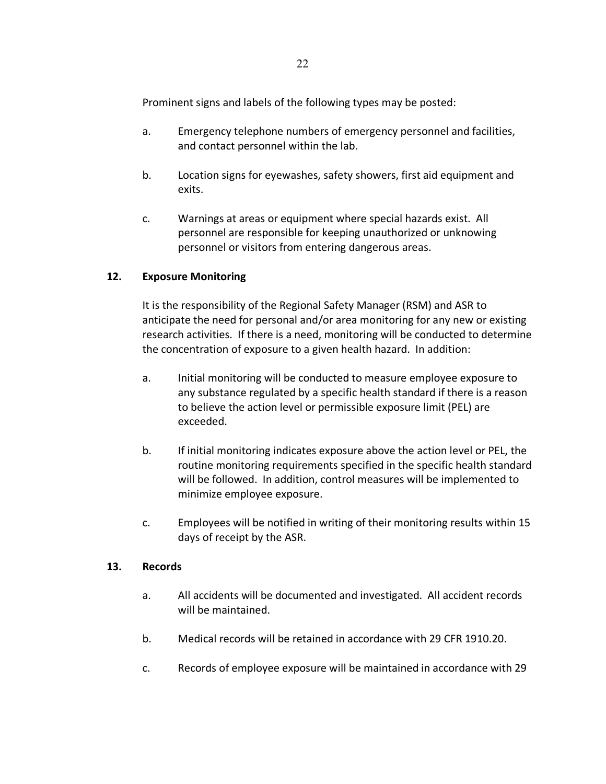Prominent signs and labels of the following types may be posted:

- a. Emergency telephone numbers of emergency personnel and facilities, and contact personnel within the lab.
- b. Location signs for eyewashes, safety showers, first aid equipment and exits.
- c. Warnings at areas or equipment where special hazards exist. All personnel are responsible for keeping unauthorized or unknowing personnel or visitors from entering dangerous areas.

#### **12. Exposure Monitoring**

It is the responsibility of the Regional Safety Manager (RSM) and ASR to anticipate the need for personal and/or area monitoring for any new or existing research activities. If there is a need, monitoring will be conducted to determine the concentration of exposure to a given health hazard. In addition:

- a. Initial monitoring will be conducted to measure employee exposure to any substance regulated by a specific health standard if there is a reason to believe the action level or permissible exposure limit (PEL) are exceeded.
- b. If initial monitoring indicates exposure above the action level or PEL, the routine monitoring requirements specified in the specific health standard will be followed. In addition, control measures will be implemented to minimize employee exposure.
- c. Employees will be notified in writing of their monitoring results within 15 days of receipt by the ASR.

#### **13. Records**

- a. All accidents will be documented and investigated. All accident records will be maintained.
- b. Medical records will be retained in accordance with 29 CFR 1910.20.
- c. Records of employee exposure will be maintained in accordance with 29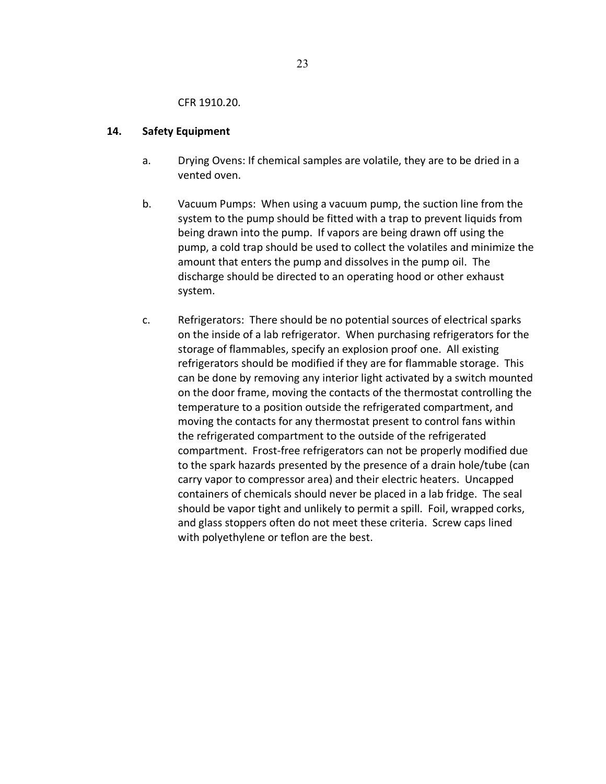CFR 1910.20.

#### **14. Safety Equipment**

- a. Drying Ovens: If chemical samples are volatile, they are to be dried in a vented oven.
- b. Vacuum Pumps: When using a vacuum pump, the suction line from the system to the pump should be fitted with a trap to prevent liquids from being drawn into the pump. If vapors are being drawn off using the pump, a cold trap should be used to collect the volatiles and minimize the amount that enters the pump and dissolves in the pump oil. The discharge should be directed to an operating hood or other exhaust system.
- c. Refrigerators: There should be no potential sources of electrical sparks on the inside of a lab refrigerator. When purchasing refrigerators for the storage of flammables, specify an explosion proof one. All existing refrigerators should be modified if they are for flammable storage. This can be done by removing any interior light activated by a switch mounted on the door frame, moving the contacts of the thermostat controlling the temperature to a position outside the refrigerated compartment, and moving the contacts for any thermostat present to control fans within the refrigerated compartment to the outside of the refrigerated compartment. Frost-free refrigerators can not be properly modified due to the spark hazards presented by the presence of a drain hole/tube (can carry vapor to compressor area) and their electric heaters. Uncapped containers of chemicals should never be placed in a lab fridge. The seal should be vapor tight and unlikely to permit a spill. Foil, wrapped corks, and glass stoppers often do not meet these criteria. Screw caps lined with polyethylene or teflon are the best.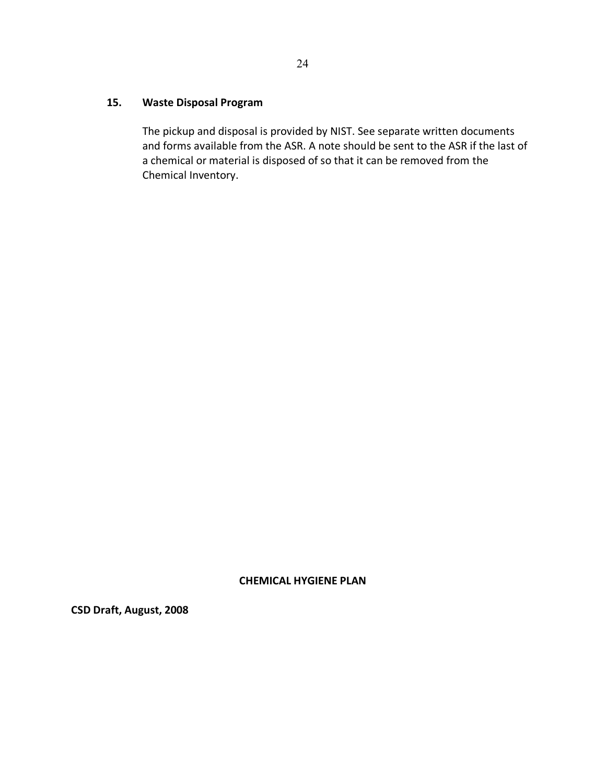#### **15. Waste Disposal Program**

The pickup and disposal is provided by NIST. See separate written documents and forms available from the ASR. A note should be sent to the ASR if the last of a chemical or material is disposed of so that it can be removed from the Chemical Inventory.

#### **CHEMICAL HYGIENE PLAN**

**CSD Draft, August, 2008**